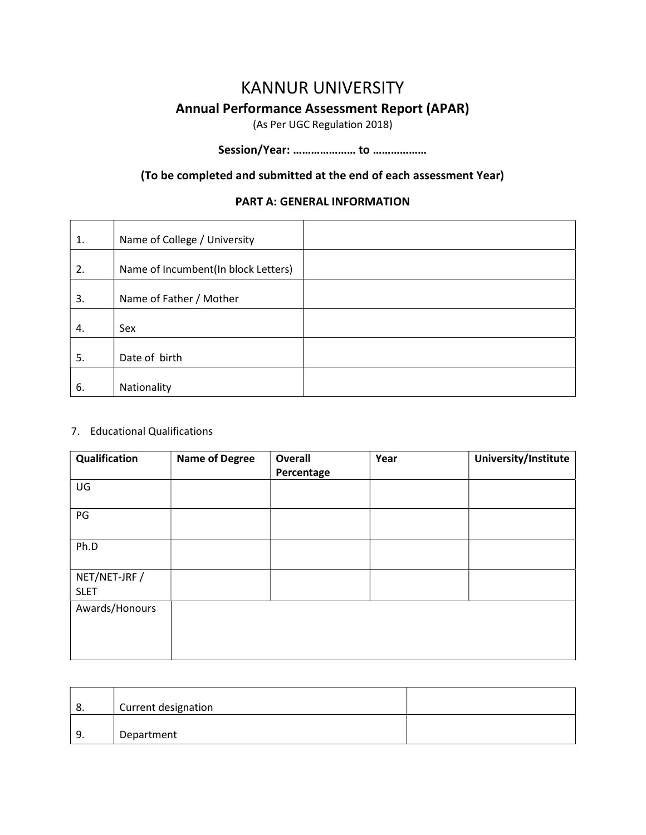# KANNUR UNIVERSITY Annual Performance Assessment Report (APAR)

(As Per UGC Regulation 2018)

### Session/Year: ………………… to ………………

#### (To be completed and submitted at the end of each assessment Year)

#### PART A: GENERAL INFORMATION

| 1. | Name of College / University        |  |
|----|-------------------------------------|--|
| 2. | Name of Incumbent(In block Letters) |  |
| 3. | Name of Father / Mother             |  |
| 4. | Sex                                 |  |
| 5. | Date of birth                       |  |
| 6. | Nationality                         |  |

#### 7. Educational Qualifications

| Qualification               | <b>Name of Degree</b> | <b>Overall</b><br>Percentage | Year | University/Institute |
|-----------------------------|-----------------------|------------------------------|------|----------------------|
| UG                          |                       |                              |      |                      |
| PG                          |                       |                              |      |                      |
| Ph.D                        |                       |                              |      |                      |
| NET/NET-JRF/<br><b>SLET</b> |                       |                              |      |                      |
| Awards/Honours              |                       |                              |      |                      |

| 8. | Current designation |  |
|----|---------------------|--|
| 9. | Department          |  |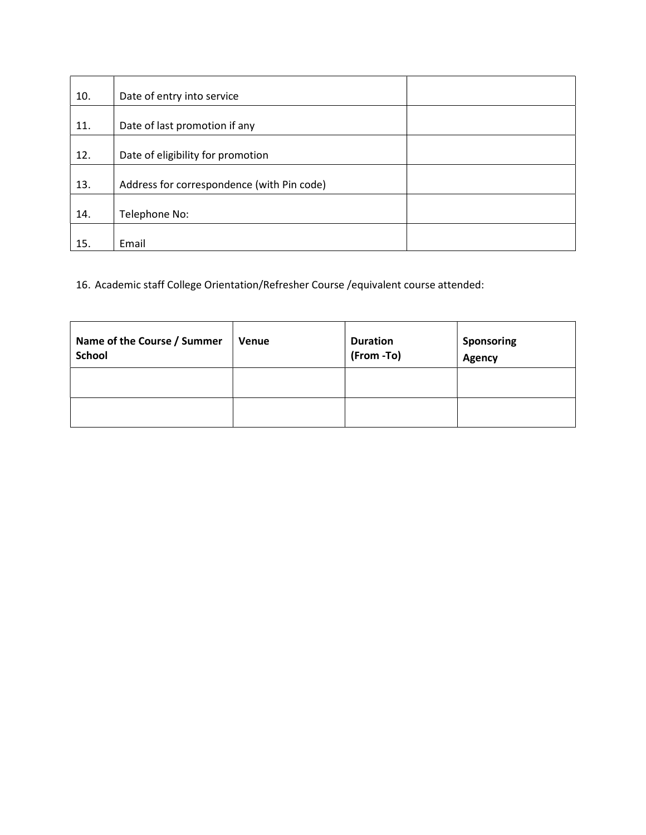| 10. | Date of entry into service                 |  |
|-----|--------------------------------------------|--|
| 11. | Date of last promotion if any              |  |
| 12. | Date of eligibility for promotion          |  |
| 13. | Address for correspondence (with Pin code) |  |
| 14. | Telephone No:                              |  |
| 15. | Email                                      |  |

16. Academic staff College Orientation/Refresher Course /equivalent course attended:

| Name of the Course / Summer<br><b>School</b> | <b>Venue</b> | <b>Duration</b><br>(From -To) | Sponsoring<br>Agency |
|----------------------------------------------|--------------|-------------------------------|----------------------|
|                                              |              |                               |                      |
|                                              |              |                               |                      |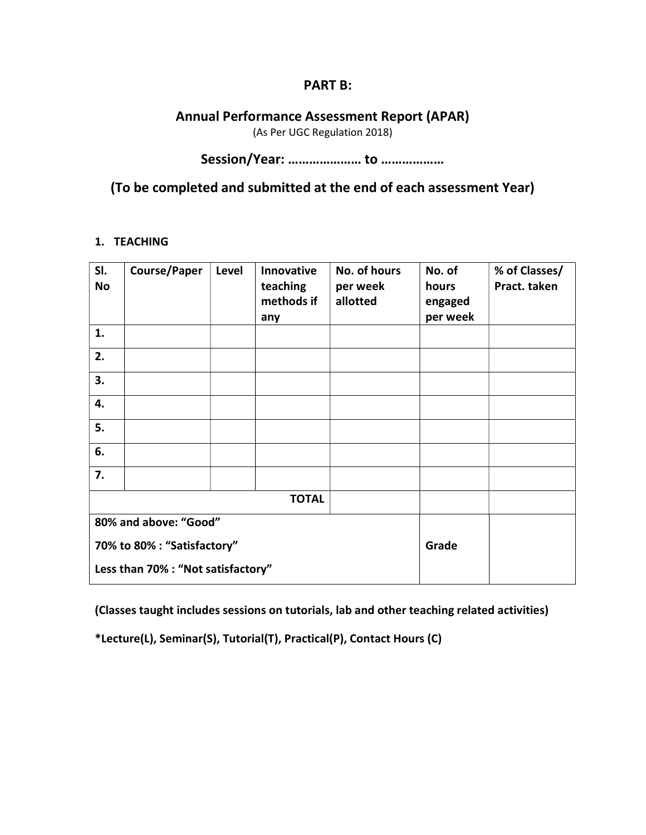#### PART B:

#### Annual Performance Assessment Report (APAR)

(As Per UGC Regulation 2018)

### Session/Year: ………………… to ………………

### (To be completed and submitted at the end of each assessment Year)

#### 1. TEACHING

| SI.<br>No                   | <b>Course/Paper</b>                | Level | Innovative<br>teaching<br>methods if<br>any | No. of hours<br>per week<br>allotted | No. of<br>hours<br>engaged<br>per week | % of Classes/<br>Pract. taken |
|-----------------------------|------------------------------------|-------|---------------------------------------------|--------------------------------------|----------------------------------------|-------------------------------|
| 1.                          |                                    |       |                                             |                                      |                                        |                               |
| 2.                          |                                    |       |                                             |                                      |                                        |                               |
| 3.                          |                                    |       |                                             |                                      |                                        |                               |
| 4.                          |                                    |       |                                             |                                      |                                        |                               |
| 5.                          |                                    |       |                                             |                                      |                                        |                               |
| 6.                          |                                    |       |                                             |                                      |                                        |                               |
| 7.                          |                                    |       |                                             |                                      |                                        |                               |
|                             |                                    |       | <b>TOTAL</b>                                |                                      |                                        |                               |
| 80% and above: "Good"       |                                    |       |                                             |                                      |                                        |                               |
| 70% to 80% : "Satisfactory" |                                    |       |                                             |                                      | Grade                                  |                               |
|                             | Less than 70% : "Not satisfactory" |       |                                             |                                      |                                        |                               |

(Classes taught includes sessions on tutorials, lab and other teaching related activities)

\*Lecture(L), Seminar(S), Tutorial(T), Practical(P), Contact Hours (C)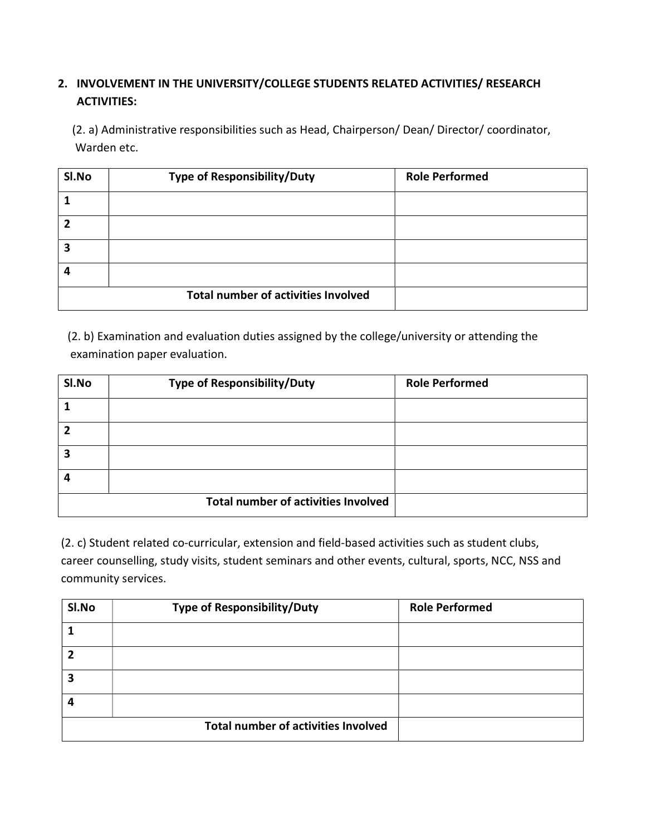### 2. INVOLVEMENT IN THE UNIVERSITY/COLLEGE STUDENTS RELATED ACTIVITIES/ RESEARCH ACTIVITIES:

 (2. a) Administrative responsibilities such as Head, Chairperson/ Dean/ Director/ coordinator, Warden etc.

| SI.No | <b>Type of Responsibility/Duty</b>         | <b>Role Performed</b> |
|-------|--------------------------------------------|-----------------------|
|       |                                            |                       |
|       |                                            |                       |
| 3     |                                            |                       |
|       |                                            |                       |
|       | <b>Total number of activities Involved</b> |                       |

 (2. b) Examination and evaluation duties assigned by the college/university or attending the examination paper evaluation.

| SI.No  | <b>Type of Responsibility/Duty</b>         | <b>Role Performed</b> |
|--------|--------------------------------------------|-----------------------|
|        |                                            |                       |
|        |                                            |                       |
| ∍<br>∍ |                                            |                       |
| Δ      |                                            |                       |
|        | <b>Total number of activities Involved</b> |                       |

(2. c) Student related co-curricular, extension and field-based activities such as student clubs, career counselling, study visits, student seminars and other events, cultural, sports, NCC, NSS and community services.

| SI.No | <b>Type of Responsibility/Duty</b>         | <b>Role Performed</b> |
|-------|--------------------------------------------|-----------------------|
|       |                                            |                       |
|       |                                            |                       |
| 3     |                                            |                       |
| 4     |                                            |                       |
|       | <b>Total number of activities Involved</b> |                       |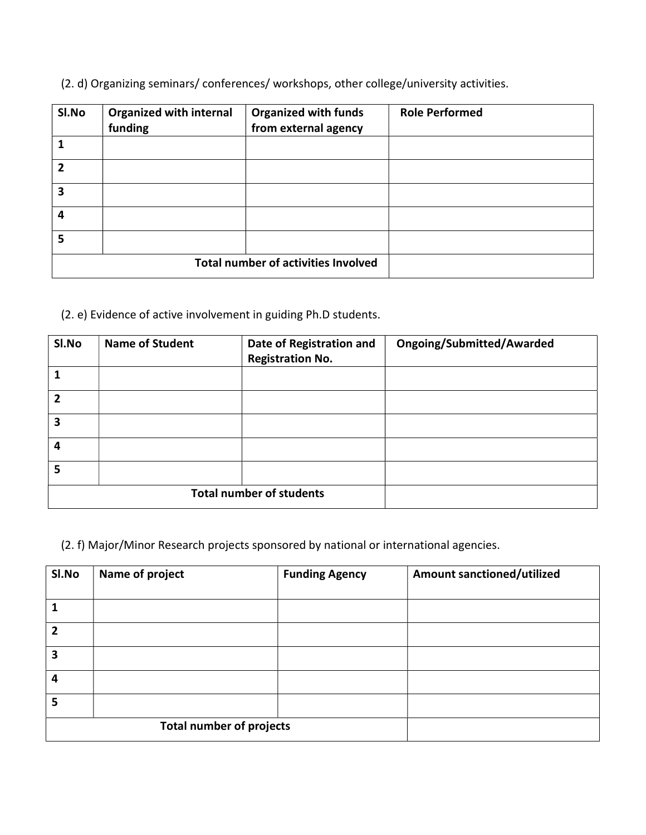(2. d) Organizing seminars/ conferences/ workshops, other college/university activities.

| SI.No                                      | <b>Organized with internal</b><br>funding | <b>Organized with funds</b><br>from external agency | <b>Role Performed</b> |
|--------------------------------------------|-------------------------------------------|-----------------------------------------------------|-----------------------|
| 1                                          |                                           |                                                     |                       |
| $\overline{2}$                             |                                           |                                                     |                       |
| 3                                          |                                           |                                                     |                       |
| 4                                          |                                           |                                                     |                       |
| 5                                          |                                           |                                                     |                       |
| <b>Total number of activities Involved</b> |                                           |                                                     |                       |

(2. e) Evidence of active involvement in guiding Ph.D students.

| SI.No          | <b>Name of Student</b> | Date of Registration and<br><b>Registration No.</b> | <b>Ongoing/Submitted/Awarded</b> |
|----------------|------------------------|-----------------------------------------------------|----------------------------------|
|                |                        |                                                     |                                  |
| $\overline{2}$ |                        |                                                     |                                  |
| 3              |                        |                                                     |                                  |
| 4              |                        |                                                     |                                  |
| 5              |                        |                                                     |                                  |
|                |                        | <b>Total number of students</b>                     |                                  |

(2. f) Major/Minor Research projects sponsored by national or international agencies.

| Sl.No          | Name of project                 | <b>Funding Agency</b> | <b>Amount sanctioned/utilized</b> |
|----------------|---------------------------------|-----------------------|-----------------------------------|
|                |                                 |                       |                                   |
| 1              |                                 |                       |                                   |
| $\overline{2}$ |                                 |                       |                                   |
| 3              |                                 |                       |                                   |
| 4              |                                 |                       |                                   |
| 5              |                                 |                       |                                   |
|                | <b>Total number of projects</b> |                       |                                   |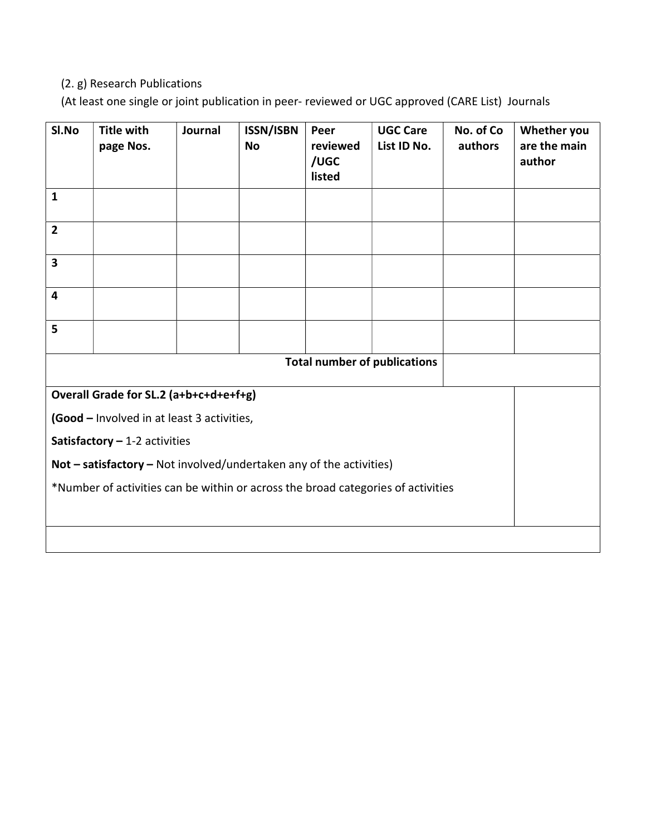### (2. g) Research Publications

(At least one single or joint publication in peer- reviewed or UGC approved (CARE List) Journals

| SI.No                                                                            | <b>Title with</b><br>page Nos. | Journal | <b>ISSN/ISBN</b><br><b>No</b> | Peer<br>reviewed<br>/UGC<br>listed | <b>UGC Care</b><br>List ID No. | No. of Co<br>authors | Whether you<br>are the main<br>author |
|----------------------------------------------------------------------------------|--------------------------------|---------|-------------------------------|------------------------------------|--------------------------------|----------------------|---------------------------------------|
| $\mathbf{1}$                                                                     |                                |         |                               |                                    |                                |                      |                                       |
| $\overline{2}$                                                                   |                                |         |                               |                                    |                                |                      |                                       |
| 3                                                                                |                                |         |                               |                                    |                                |                      |                                       |
| $\overline{\mathbf{4}}$                                                          |                                |         |                               |                                    |                                |                      |                                       |
| 5                                                                                |                                |         |                               |                                    |                                |                      |                                       |
|                                                                                  |                                |         |                               |                                    |                                |                      |                                       |
| Overall Grade for SL.2 (a+b+c+d+e+f+g)                                           |                                |         |                               |                                    |                                |                      |                                       |
| (Good - Involved in at least 3 activities,                                       |                                |         |                               |                                    |                                |                      |                                       |
| Satisfactory $-1-2$ activities                                                   |                                |         |                               |                                    |                                |                      |                                       |
| Not $-$ satisfactory $-$ Not involved/undertaken any of the activities)          |                                |         |                               |                                    |                                |                      |                                       |
| *Number of activities can be within or across the broad categories of activities |                                |         |                               |                                    |                                |                      |                                       |
|                                                                                  |                                |         |                               |                                    |                                |                      |                                       |